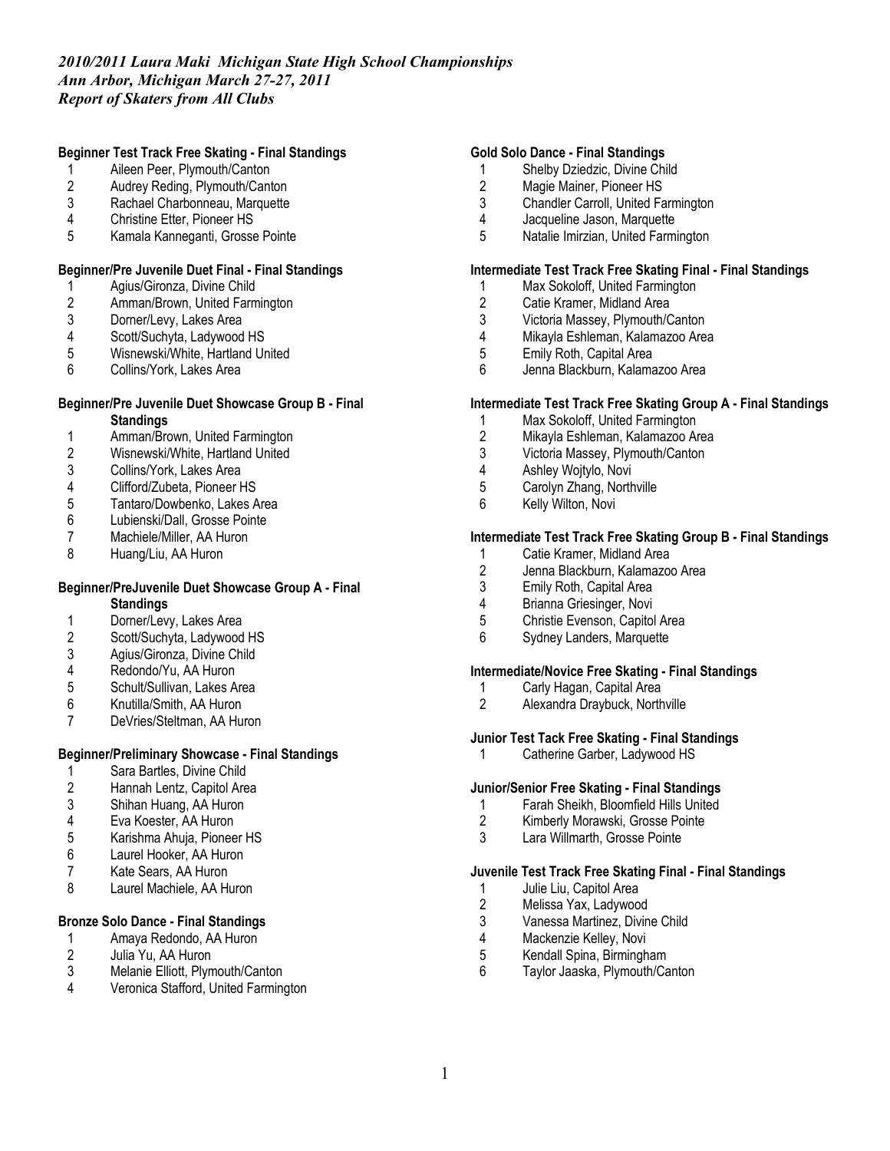### **Beginner Test Track Free Skating - Final Standings**

- 1 Aileen Peer, Plymouth/Canton<br>2 Audrey Reding, Plymouth/Cant
- 2 Audrey Reding, Plymouth/Canton<br>3 Rachael Charbonneau. Marquette
- Rachael Charbonneau, Marquette
- 4 Christine Etter, Pioneer HS
- 5 Kamala Kanneganti, Grosse Pointe

# **Beginner/Pre Juvenile Duet Final - Final Standings**

- 1 Agius/Gironza, Divine Child
- 2 Amman/Brown, United Farmington<br>3 Dorner/Levy, Lakes Area
- 
- 3 Dorner/Levy, Lakes Area<br>4 Scott/Suchyta, Ladywood
- 4 Scott/Suchyta, Ladywood HS<br>5 Wisnewski/White. Hartland Ur 5 Wisnewski/White, Hartland United<br>6 Collins/York, Lakes Area
- Collins/York, Lakes Area

# **Beginner/Pre Juvenile Duet Showcase Group B - Final**

- **Standings**
- 1 Amman/Brown, United Farmington<br>2 Wisnewski/White, Hartland United
- 2 Wisnewski/White, Hartland United<br>3 Collins/York, Lakes Area
- 3 Collins/York, Lakes Area<br>4 Clifford/Zubeta, Pioneer H
- 4 Clifford/Zubeta, Pioneer HS<br>5 Tantaro/Dowbenko, Lakes A
- 5 Tantaro/Dowbenko, Lakes Area<br>6 Lubienski/Dall, Grosse Pointe
- 6 Lubienski/Dall, Grosse Pointe<br>7 Machiele/Miller, AA Huron
- Machiele/Miller, AA Huron
- 8 Huang/Liu, AA Huron

#### **Beginner/PreJuvenile Duet Showcase Group A - Final Standings**

- 1 Dorner/Levy, Lakes Area<br>2 Scott/Suchyta, Ladywood
- Scott/Suchyta, Ladywood HS
- 3 Agius/Gironza, Divine Child<br>4 Redondo/Yu. AA Huron
- 4 Redondo/Yu, AA Huron<br>5 Schult/Sullivan, Lakes A
- 5 Schult/Sullivan, Lakes Area
- 6 Knutilla/Smith, AA Huron
- DeVries/Steltman, AA Huron

### **Beginner/Preliminary Showcase - Final Standings**

- 1 Sara Bartles, Divine Child<br>2 Hannah Lentz, Capitol Are
- Hannah Lentz, Capitol Area
- 3 Shihan Huang, AA Huron
- 4 Eva Koester, AA Huron<br>5 Karishma Ahuia. Pionee
- 5 Karishma Ahuja, Pioneer HS
- 6 Laurel Hooker, AA Huron
- 7 Kate Sears, AA Huron<br>8 Laurel Machiele, AA Hu
- Laurel Machiele, AA Huron

### **Bronze Solo Dance - Final Standings**

- 1 Amaya Redondo, AA Huron<br>2 Julia Yu, AA Huron
- 2 Julia Yu, AA Huron<br>3 Melanie Elliott. Plvm
- 3 Melanie Elliott, Plymouth/Canton<br>4 Veronica Stafford United Farming
- Veronica Stafford, United Farmington

#### **Gold Solo Dance - Final Standings**

- 1 Shelby Dziedzic, Divine Child
- 2 Magie Mainer, Pioneer HS<br>3 Chandler Carroll, United Fa
- Chandler Carroll, United Farmington
- 4 Jacqueline Jason, Marquette<br>5 Natalie Imirzian. United Farmi
- 5 Natalie Imirzian, United Farmington

### **Intermediate Test Track Free Skating Final - Final Standings**

- 1 Max Sokoloff, United Farmington
- 2 Catie Kramer, Midland Area<br>3 Victoria Massey, Plymouth/C
- 3 Victoria Massey, Plymouth/Canton<br>4 Mikavla Eshleman. Kalamazoo Area
- Mikayla Eshleman, Kalamazoo Area
- 5 Emily Roth, Capital Area<br>6 Jenna Blackburn, Kalama
- Jenna Blackburn, Kalamazoo Area

### **Intermediate Test Track Free Skating Group A - Final Standings**

- 1 Max Sokoloff, United Farmington<br>2 Mikavla Eshleman, Kalamazoo Ar
- 2 Mikayla Eshleman, Kalamazoo Area
- 3 Victoria Massey, Plymouth/Canton
- 4 Ashley Wojtylo, Novi<br>5 Carolyn Zhang, North
- 5 Carolyn Zhang, Northville
- 6 Kelly Wilton, Novi

### **Intermediate Test Track Free Skating Group B - Final Standings**

- 1 Catie Kramer, Midland Area<br>2 Jenna Blackburn, Kalamazo
- 2 Jenna Blackburn, Kalamazoo Area<br>3 Emily Roth, Capital Area
- 3 Emily Roth, Capital Area
- 4 Brianna Griesinger, Novi<br>5 Christie Evenson, Capitol
- 5 Christie Evenson, Capitol Area
- 6 Sydney Landers, Marquette

### **Intermediate/Novice Free Skating - Final Standings**

- 1 Carly Hagan, Capital Area
- 2 Alexandra Draybuck, Northville

### **Junior Test Tack Free Skating - Final Standings**

1 Catherine Garber, Ladywood HS

# **Junior/Senior Free Skating - Final Standings**

- 1 Farah Sheikh, Bloomfield Hills United
- 2 Kimberly Morawski, Grosse Pointe
- 3 Lara Willmarth, Grosse Pointe

### **Juvenile Test Track Free Skating Final - Final Standings**

- 1 Julie Liu, Capitol Area<br>2 Melissa Yax, Ladywoo
- 2 Melissa Yax, Ladywood<br>3 Vanessa Martinez, Divin
- 3 Vanessa Martinez, Divine Child
- Mackenzie Kelley, Novi
- 5 Kendall Spina, Birmingham
- 6 Taylor Jaaska, Plymouth/Canton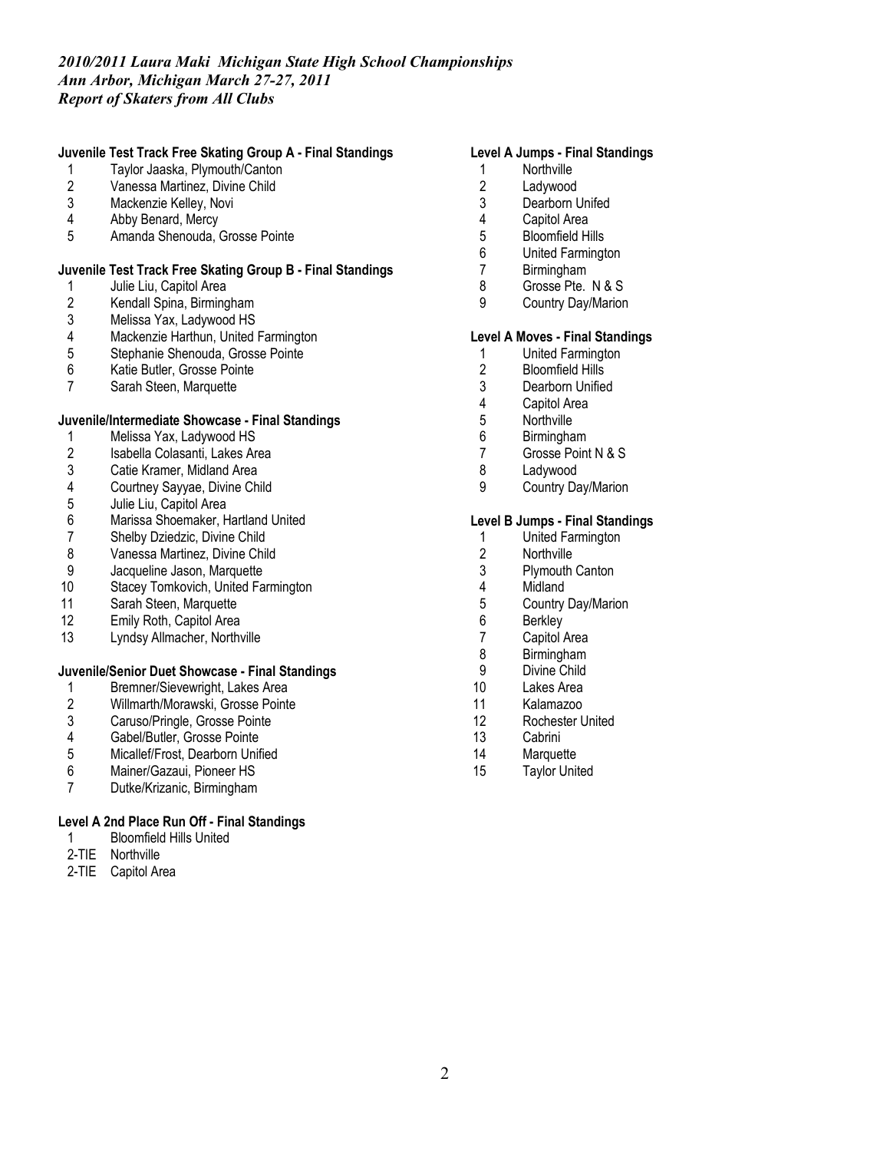# **Juvenile Test Track Free Skating Group A - Final Standings**

- 1 Taylor Jaaska, Plymouth/Canton<br>2 Vanessa Martinez, Divine Child
- 2 Vanessa Martinez, Divine Child<br>3 Mackenzie Kellev, Novi
- Mackenzie Kelley, Novi
- 4 Abby Benard, Mercy<br>5 Amanda Shenouda. (
- Amanda Shenouda, Grosse Pointe

### **Juvenile Test Track Free Skating Group B - Final Standings**

- 1 Julie Liu, Capitol Area
- 2 Kendall Spina, Birmingham<br>3 Melissa Yax, Ladywood HS
- 3 Melissa Yax, Ladywood HS
- 4 Mackenzie Harthun, United Farmington<br>5 Stephanie Shenouda, Grosse Pointe
- 5 Stephanie Shenouda, Grosse Pointe<br>6 Katie Butler. Grosse Pointe
- 6 Katie Butler, Grosse Pointe<br>7 Sarah Steen, Marquette
- Sarah Steen, Marquette

# **Juvenile/Intermediate Showcase - Final Standings**

- 1 Melissa Yax, Ladywood HS
- 2 Isabella Colasanti, Lakes Area<br>3 Catie Kramer, Midland Area
- 3 Catie Kramer, Midland Area<br>4 Courtney Sayyae, Divine Chi
- 4 Courtney Sayyae, Divine Child<br>5 Julie Liu, Capitol Area
- 5 Julie Liu, Capitol Area<br>6 Marissa Shoemaker, H
- 6 Marissa Shoemaker, Hartland United
- 7 Shelby Dziedzic, Divine Child<br>8 Vanessa Martinez, Divine Chil
- 8 Vanessa Martinez, Divine Child<br>9 Jacqueline Jason, Marquette
- 9 Jacqueline Jason, Marquette<br>10 Stacev Tomkovich. United Fa
- Stacey Tomkovich, United Farmington
- 11 Sarah Steen, Marquette<br>12 Emily Roth, Capitol Area
- Emily Roth, Capitol Area
- 13 Lyndsy Allmacher, Northville

# **Juvenile/Senior Duet Showcase - Final Standings**

- 1 Bremner/Sievewright, Lakes Area
- 2 Willmarth/Morawski, Grosse Pointe<br>3 Caruso/Pringle, Grosse Pointe
- 3 Caruso/Pringle, Grosse Pointe<br>4 Gabel/Butler, Grosse Pointe
- Gabel/Butler, Grosse Pointe
- 5 Micallef/Frost, Dearborn Unified
- 6 Mainer/Gazaui, Pioneer HS
- 7 Dutke/Krizanic, Birmingham

### **Level A 2nd Place Run Off - Final Standings**

- 1 Bloomfield Hills United
- 2-TIE Northville
- 2-TIE Capitol Area

# **Level A Jumps - Final Standings**

- 1 Northville<br>2 Ladywood
- 2 Ladywood<br>3 Dearborn U
- Dearborn Unifed
- 4 Capitol Area<br>5 Bloomfield H
- 5 Bloomfield Hills
- 6 United Farmington
- 7 Birmingham
- 8 Grosse Pte. N & S
- 9 Country Day/Marion

#### **Level A Moves - Final Standings**

- 1 United Farmington<br>2 Bloomfield Hills
- 2 Bloomfield Hills<br>3 Dearborn Unified
- Dearborn Unified
- 4 Capitol Area<br>5 Northville
- 5 Northville<br>6 Birmingha
- **Birmingham**
- 7 Grosse Point N & S
- 8 Ladywood
- 9 Country Day/Marion

#### **Level B Jumps - Final Standings**

- 1 United Farmington
- 2 Northville<br>3 Plymouth
- Plymouth Canton
- 4 Midland
- 5 Country Day/Marion<br>6 Berklev
- 6 Berkley<br>7 Capitol
- Capitol Area
- 8 Birmingham<br>9 Divine Child
- Divine Child
- 10 Lakes Area
- 11 Kalamazoo
- 12 Rochester United
- 13 Cabrini
- 14 Marquette
- 15 Taylor United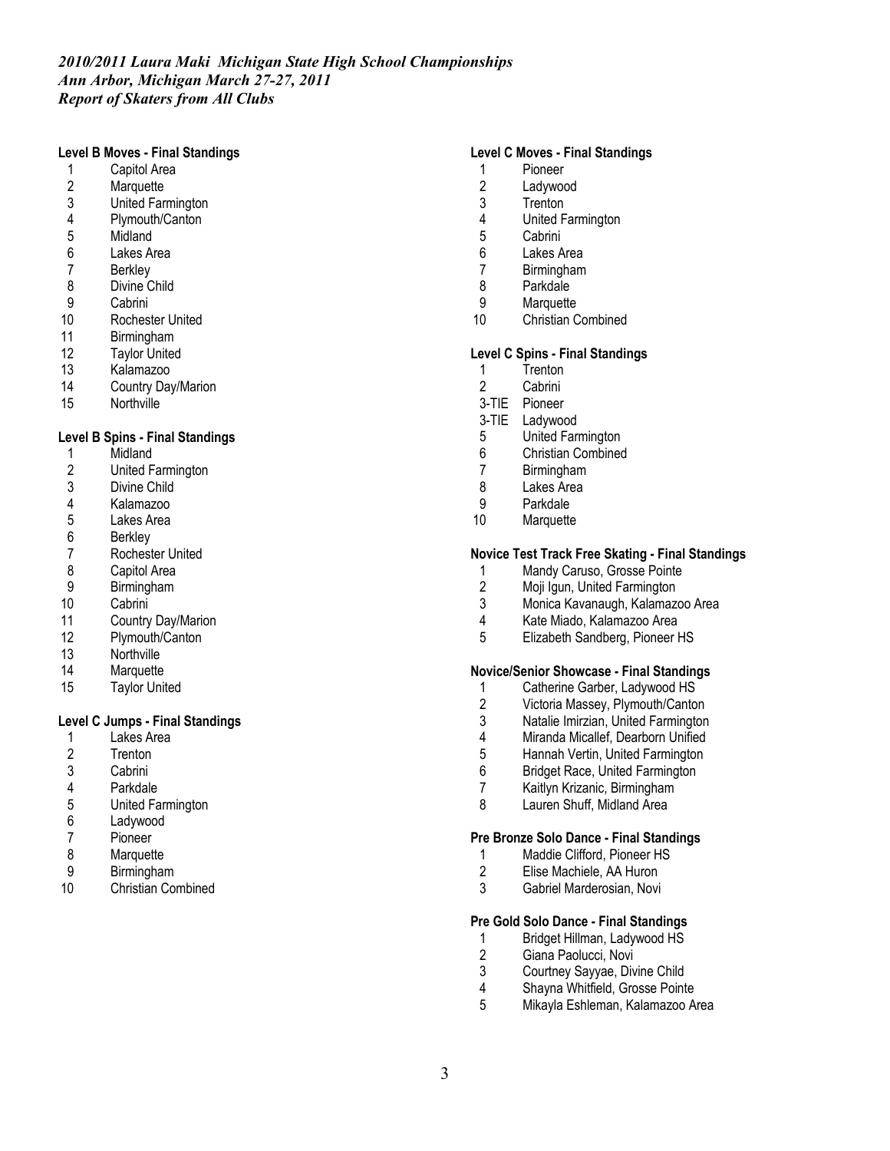#### **Level B Moves - Final Standings**

- 1 Capitol Area<br>2 Marquette
- 2 Marquette<br>3 United Farr
- 3 United Farmington<br>4 Plymouth/Canton
- 4 Plymouth/Canton
- **Midland**
- 6 Lakes Area
- 7 Berkley<br>8 Divine C
- Divine Child
- 9 Cabrini<br>10 Roches
- Rochester United
- 11 Birmingham
- 12 Taylor United<br>13 Kalamazoo
- Kalamazoo
- 14 Country Day/Marion
- 15 Northville

#### **Level B Spins - Final Standings**

- 1 Midland<br>2 United F
- 2 United Farmington<br>3 Divine Child
- Divine Child
- 4 Kalamazoo
- 5 Lakes Area<br>6 Berkley
- **Berkley**
- 7 Rochester United<br>8 Capitol Area
- 8 Capitol Area<br>9 Birmingham
- **Birmingham**
- 10 Cabrini
- 11 Country Day/Marion
- 12 Plymouth/Canton
- 13 Northville
- 14 Marquette
- 15 Taylor United

# **Level C Jumps - Final Standings**

- 1 Lakes Area
- 2 Trenton<br>3 Cabrini
- Cabrini
- 4 Parkdale
- 5 United Farmington
- 6 Ladywood<br>7 Pioneer
- **Pioneer**
- 8 Marquette<br>9 Birminghar
- 9 Birmingham<br>10 Christian Cor
- Christian Combined

### **Level C Moves - Final Standings**

- 1 Pioneer<br>2 Ladywoo
- 2 Ladywood<br>3 Trenton
- **Trenton**
- 4 United Farmington<br>5 Cabrini
- Cabrini
- 6 Lakes Area
- 7 Birmingham
- 8 Parkdale
- 9 Marquette<br>10 Christian C
- Christian Combined

#### **Level C Spins - Final Standings**

- 1 Trenton<br>2 Cabrini
- Cabrini
- 3-TIE Pioneer
- 3-TIE Ladywood
- 5 United Farmington
- 6 Christian Combined
- 7 Birmingham
- 8 Lakes Area
- 9 Parkdale<br>10 Marquette
- Marquette

#### **Novice Test Track Free Skating - Final Standings**

- 1 Mandy Caruso, Grosse Pointe<br>2 Moii Igun. United Farmington
- Moji Igun, United Farmington
- 3 Monica Kavanaugh, Kalamazoo Area
- 4 Kate Miado, Kalamazoo Area
- 5 Elizabeth Sandberg, Pioneer HS

#### **Novice/Senior Showcase - Final Standings**

- 1 Catherine Garber, Ladywood HS
- 
- 2 Victoria Massey, Plymouth/Canton<br>3 Natalie Imirzian. United Farmington
- 3 Natalie Imirzian, United Farmington<br>4 Miranda Micallef. Dearborn Unified Miranda Micallef, Dearborn Unified
- 5 Hannah Vertin, United Farmington
- 6 Bridget Race, United Farmington
- 7 Kaitlyn Krizanic, Birmingham
- 8 Lauren Shuff, Midland Area

#### **Pre Bronze Solo Dance - Final Standings**

- 1 Maddie Clifford, Pioneer HS<br>2 Elise Machiele. AA Huron
- 2 Elise Machiele, AA Huron<br>3 Gabriel Marderosian Novi
- Gabriel Marderosian, Novi

#### **Pre Gold Solo Dance - Final Standings**

- 1 Bridget Hillman, Ladywood HS<br>2 Giana Paolucci, Novi
- Giana Paolucci, Novi
- 3 Courtney Sayyae, Divine Child
- 
- 4 Shayna Whitfield, Grosse Pointe<br>5 Mikavla Eshleman. Kalamazoo A 5 Mikayla Eshleman, Kalamazoo Area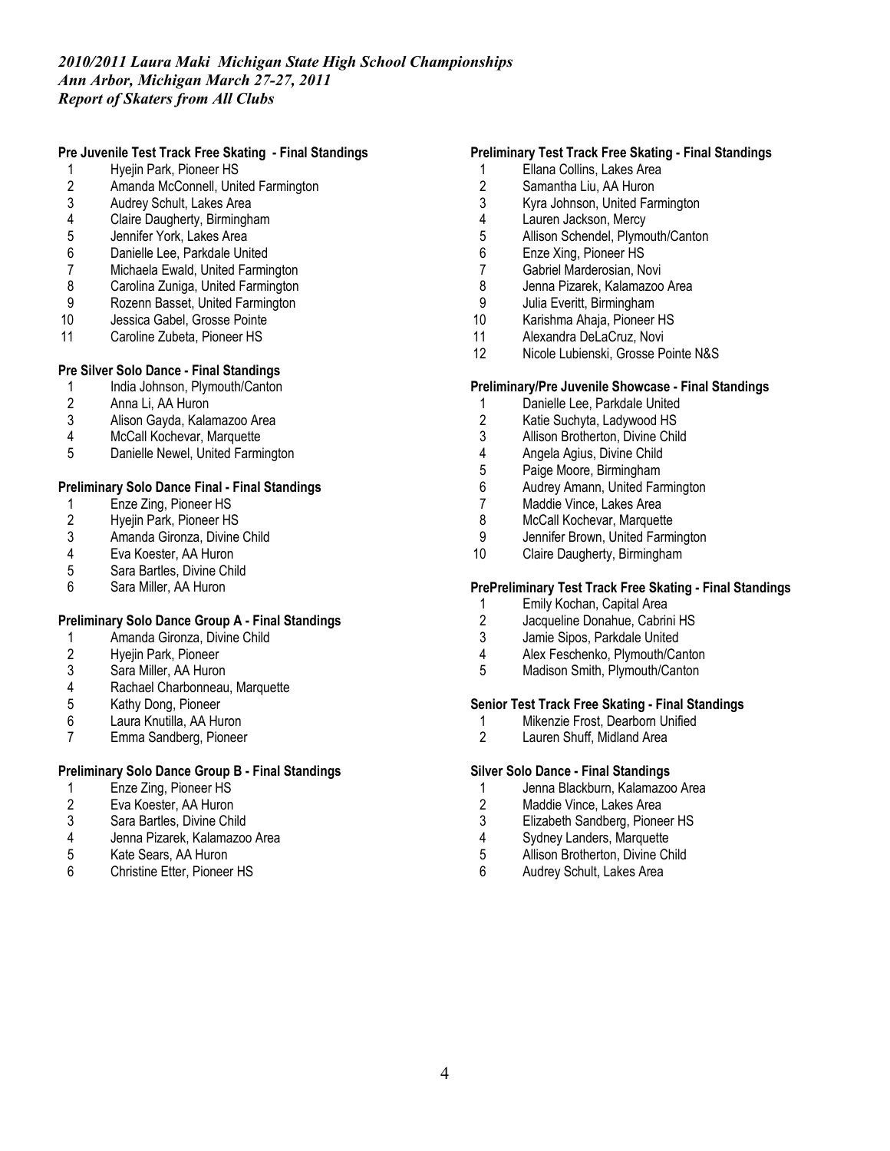# **Pre Juvenile Test Track Free Skating - Final Standings**

- 1 Hyejin Park, Pioneer HS<br>2 Amanda McConnell, Unit
- 2 Amanda McConnell, United Farmington<br>3 Audrey Schult. Lakes Area
- 3 Audrey Schult, Lakes Area<br>4 Claire Daugherty, Birmingha
- 4 Claire Daugherty, Birmingham<br>5 Jennifer York, Lakes Area
- Jennifer York, Lakes Area
- 6 Danielle Lee, Parkdale United
- 7 Michaela Ewald, United Farmington<br>8 Carolina Zuniga, United Farmington
- Carolina Zuniga, United Farmington
- 9 Rozenn Basset, United Farmington<br>10 Jessica Gabel, Grosse Pointe
- Jessica Gabel, Grosse Pointe
- 11 Caroline Zubeta, Pioneer HS

# **Pre Silver Solo Dance - Final Standings**

- 1 India Johnson, Plymouth/Canton
- 
- 2 Anna Li, AA Huron<br>3 Alison Gayda, Kala 3 Alison Gayda, Kalamazoo Area<br>4 McCall Kochevar, Marquette
- McCall Kochevar, Marquette
- 5 Danielle Newel, United Farmington

### **Preliminary Solo Dance Final - Final Standings**

- 1 Enze Zing, Pioneer HS<br>2 Hyejin Park, Pioneer HS
- 2 Hyejin Park, Pioneer HS<br>3 Amanda Gironza, Divine
- Amanda Gironza, Divine Child
- 4 Eva Koester, AA Huron<br>5 Sara Bartles. Divine Chi
- 5 Sara Bartles, Divine Child
- 6 Sara Miller, AA Huron

# **Preliminary Solo Dance Group A - Final Standings**

- 1 Amanda Gironza, Divine Child
- 2 Hyejin Park, Pioneer<br>3 Sara Miller, AA Huror
- 3 Sara Miller, AA Huron<br>4 Rachael Charbonneau
- Rachael Charbonneau, Marquette
- 
- 5 Kathy Dong, Pioneer<br>6 Laura Knutilla, AA Hu 6 Laura Knutilla, AA Huron
- 7 Emma Sandberg, Pioneer

# **Preliminary Solo Dance Group B - Final Standings**

- 1 Enze Zing, Pioneer HS
- 2 Eva Koester, AA Huron<br>3 Sara Bartles. Divine Chi
- Sara Bartles, Divine Child
- 4 Jenna Pizarek, Kalamazoo Area
- 5 Kate Sears, AA Huron<br>6 Christine Etter. Pionee
- 6 Christine Etter, Pioneer HS

### **Preliminary Test Track Free Skating - Final Standings**

- 1 Ellana Collins, Lakes Area<br>2 Samantha Liu. AA Huron
- Samantha Liu, AA Huron
- 3 Kyra Johnson, United Farmington
- 4 Lauren Jackson, Mercy<br>5 Allison Schendel, Plymo
- Allison Schendel, Plymouth/Canton
- 6 Enze Xing, Pioneer HS
- 7 Gabriel Marderosian, Novi
- 8 Jenna Pizarek, Kalamazoo Area
- 9 Julia Everitt, Birmingham<br>10 Karishma Ahaia, Pioneer
- Karishma Ahaja, Pioneer HS
- 11 Alexandra DeLaCruz, Novi
- 12 Nicole Lubienski, Grosse Pointe N&S

#### **Preliminary/Pre Juvenile Showcase - Final Standings**

- 1 Danielle Lee, Parkdale United
- 2 Katie Suchyta, Ladywood HS<br>3 Allison Brotherton, Divine Chil
- Allison Brotherton, Divine Child
- 4 Angela Agius, Divine Child
- 5 Paige Moore, Birmingham
- 6 Audrey Amann, United Farmington
- 7 Maddie Vince, Lakes Area<br>8 McCall Kochevar. Marquett
- 8 McCall Kochevar, Marquette<br>9 Jennifer Brown, United Farmi
- Jennifer Brown, United Farmington
- 10 Claire Daugherty, Birmingham

#### **PrePreliminary Test Track Free Skating - Final Standings**

- 1 Emily Kochan, Capital Area<br>2 Jacqueline Donahue, Cabrin
- 2 Jacqueline Donahue, Cabrini HS<br>3 Jamie Sipos, Parkdale United
- Jamie Sipos, Parkdale United
- 4 Alex Feschenko, Plymouth/Canton<br>5 Madison Smith, Plymouth/Canton
- Madison Smith, Plymouth/Canton

### **Senior Test Track Free Skating - Final Standings**

- 1 Mikenzie Frost, Dearborn Unified<br>2 Lauren Shuff. Midland Area
- Lauren Shuff, Midland Area

#### **Silver Solo Dance - Final Standings**

- 1 Jenna Blackburn, Kalamazoo Area
- 
- 2 Maddie Vince, Lakes Area<br>3 Elizabeth Sandberg, Pione Elizabeth Sandberg, Pioneer HS
- 4 Sydney Landers, Marquette
- 5 Allison Brotherton, Divine Child<br>6 Audrey Schult, Lakes Area
- 6 Audrey Schult, Lakes Area